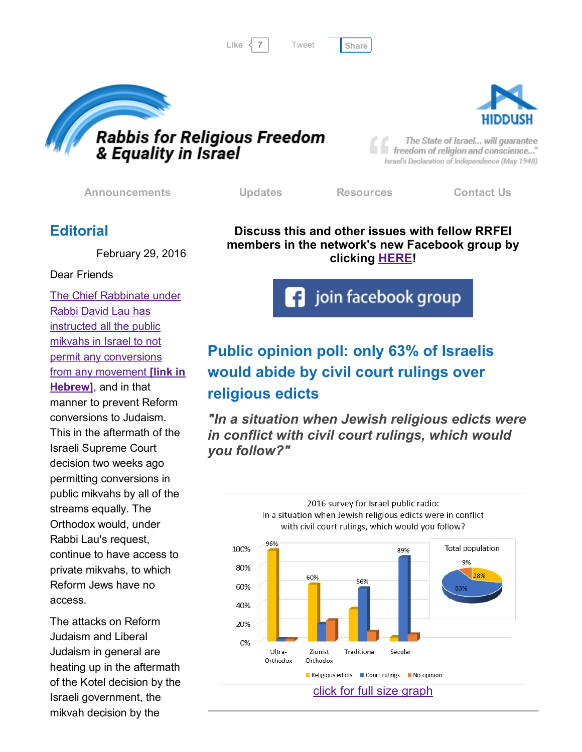[Tweet](https://twitter.com/intent/tweet?original_referer=http%3A%2F%2Fhosted-p0.vresp.com%2F577764%2F60bb6ac9c0%2FARCHIVE&ref_src=twsrc%5Etfw&text=Bulletin%3A%20Civil%20court%20rulings%20merely%20advisory%3F%3A&tw_p=tweetbutton&url=http%3A%2F%2Fhosted-p0.vresp.com%2F577764%2F60bb6ac9c0%2FARCHIVE%23.VtWG5UmRtkY.twitter)





The State of Israel... will guarantee freedom of religion and conscience..." Israel's Declaration of Independence (May 1948)

[Announcements](http://rrfei.org/announcements/) [Updates](http://rrfei.org/about/rrfei-updates/) [Resources](http://rrfei.org/resources/) [Contact](http://rrfei.org/contact-us/) Us

## **Editorial**

February 29, 2016

#### Dear Friends

The Chief Rabbinate under Rabbi David Lau has instructed all the public mikvahs in Israel to not permit any [conversions](http://www.kikar.co.il/193867.html) from any movement **[link in**] Hebrew], and in that manner to prevent Reform conversions to Judaism. This in the aftermath of the Israeli Supreme Court decision two weeks ago permitting conversions in public mikvahs by all of the streams equally. The Orthodox would, under Rabbi Lau's request, continue to have access to private mikvahs, to which Reform Jews have no access.

The attacks on Reform Judaism and Liberal Judaism in general are heating up in the aftermath of the Kotel decision by the Israeli government, the mikvah decision by the

Discuss this and other issues with fellow RRFEI members in the network's new Facebook group by clicking [HERE!](https://www.facebook.com/groups/132239560451232/)

**f** join facebook group

# Public opinion poll: only 63% of Israelis would abide by civil court rulings over religious edicts

*"In a situation when Jewish religious edicts were in conflict with civil court rulings, which would you follow?"*

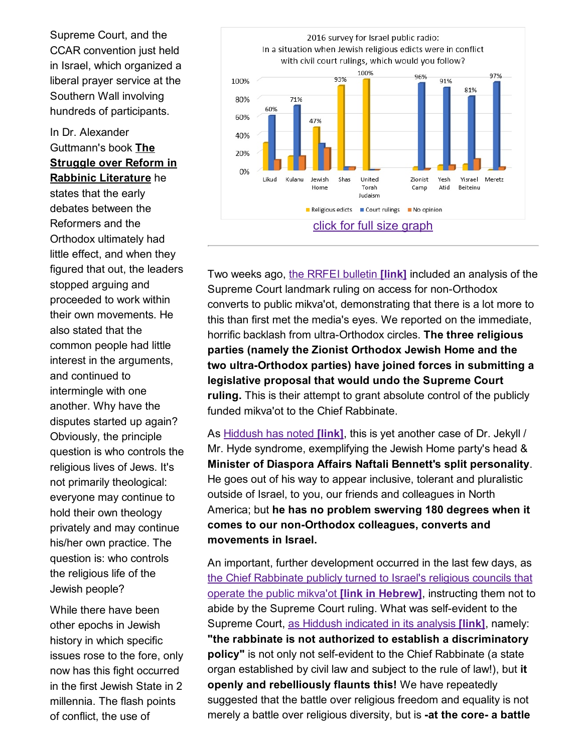Supreme Court, and the CCAR convention just held in Israel, which organized a liberal prayer service at the Southern Wall involving hundreds of participants.

#### In Dr. Alexander Guttmann's book The Struggle over Reform in Rabbinic Literature he

states that the early debates between the Reformers and the Orthodox ultimately had little effect, and when they figured that out, the leaders stopped arguing and proceeded to work within their own movements. He also stated that the common people had little interest in the arguments, and continued to intermingle with one another. Why have the disputes started up again? Obviously, the principle question is who controls the religious lives of Jews. It's not primarily theological: everyone may continue to hold their own theology privately and may continue his/her own practice. The question is: who controls the religious life of the Jewish people?

While there have been other epochs in Jewish history in which specific issues rose to the fore, only now has this fight occurred in the first Jewish State in 2 millennia. The flash points of conflict, the use of



Two weeks ago, the RRFEI [bulletin](http://hosted-p0.vresp.com/577764/82b22408b9/ARCHIVE) *[link]* included an analysis of the Supreme Court landmark ruling on access for non-Orthodox converts to public mikva'ot, demonstrating that there is a lot more to this than first met the media's eyes. We reported on the immediate, horrific backlash from ultra-Orthodox circles. The three religious parties (namely the Zionist Orthodox Jewish Home and the two ultra-Orthodox parties) have joined forces in submitting a legislative proposal that would undo the Supreme Court ruling. This is their attempt to grant absolute control of the publicly funded mikva'ot to the Chief Rabbinate.

As [Hiddush](http://hosted-p0.vresp.com/577764/5127fdb147/ARCHIVE) has noted *[link]*, this is yet another case of Dr. Jekyll / Mr. Hyde syndrome, exemplifying the Jewish Home party's head & Minister of Diaspora Affairs Naftali Bennett's split personality. He goes out of his way to appear inclusive, tolerant and pluralistic outside of Israel, to you, our friends and colleagues in North America; but he has no problem swerving 180 degrees when it comes to our non-Orthodox colleagues, converts and movements in Israel.

An important, further development occurred in the last few days, as the Chief [Rabbinate](http://www.kikar.co.il/193867.html) publicly turned to Israel's religious councils that operate the public mikva'ot **[link in Hebrew]**, instructing them not to abide by the Supreme Court ruling. What was self-evident to the Supreme Court, as Hiddush [indicated](http://hiddush.org/article-16844-0-Landmark_ruling_to_allow_nonOrthodox_converts_access_to_all_mikva%E2%80%99ot.aspx) in its analysis [link], namely: "the rabbinate is not authorized to establish a discriminatory policy" is not only not self-evident to the Chief Rabbinate (a state organ established by civil law and subject to the rule of law!), but it openly and rebelliously flaunts this! We have repeatedly suggested that the battle over religious freedom and equality is not merely a battle over religious diversity, but is -at the core- a battle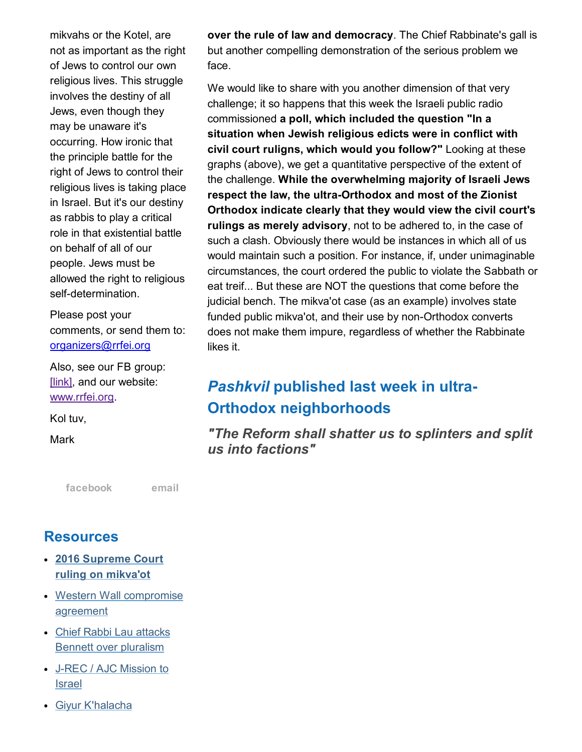mikvahs or the Kotel, are not as important as the right of Jews to control our own religious lives. This struggle involves the destiny of all Jews, even though they may be unaware it's occurring. How ironic that the principle battle for the right of Jews to control their religious lives is taking place in Israel. But it's our destiny as rabbis to play a critical role in that existential battle on behalf of all of our people. Jews must be allowed the right to religious self-determination.

Please post your comments, or send them to: [organizers@rrfei.org](mailto:organizers@rrfei.org)

Also, see our FB group: [\[link\],](https://www.facebook.com/groups/132239560451232/) and our website: [www.rrfei.org.](http://rrfei.org/)

Kol tuv,

**Mark** 

[facebook](https://www.facebook.com/groups/132239560451232/) [email](mailto:organizers@rrfei.org)

#### **Resources**

- 2016 [Supreme](http://rrfei.org/resources/supreme-court-ruling-on-mikvaot-2016/) Court ruling on mikva'ot
- Western Wall [compromise](http://rrfei.org/resources/western-wall-agreement-2016/) agreement
- Chief Rabbi Lau attacks Bennett over [pluralism](http://rrfei.org/resources/chief-rabbi-lau-slams-minister-bennett-winter-2015/)
- J-REC / AJC [Mission](http://rrfei.org/resources/ajc-j-rec-mission-to-israel-winter-2015/) to **Israel**
- Giyur [K'halacha](http://rrfei.org/resources/giyur-khalacha-summer-2015/)

over the rule of law and democracy. The Chief Rabbinate's gall is but another compelling demonstration of the serious problem we face.

We would like to share with you another dimension of that very challenge; it so happens that this week the Israeli public radio commissioned a poll, which included the question "In a situation when Jewish religious edicts were in conflict with civil court ruligns, which would you follow?" Looking at these graphs (above), we get a quantitative perspective of the extent of the challenge. While the overwhelming majority of Israeli Jews respect the law, the ultra-Orthodox and most of the Zionist Orthodox indicate clearly that they would view the civil court's rulings as merely advisory, not to be adhered to, in the case of such a clash. Obviously there would be instances in which all of us would maintain such a position. For instance, if, under unimaginable circumstances, the court ordered the public to violate the Sabbath or eat treif... But these are NOT the questions that come before the judicial bench. The mikva'ot case (as an example) involves state funded public mikva'ot, and their use by non-Orthodox converts does not make them impure, regardless of whether the Rabbinate likes it.

# *Pashkvil* published last week in ultra-Orthodox neighborhoods

*"The Reform shall shatter us to splinters and split us into factions"*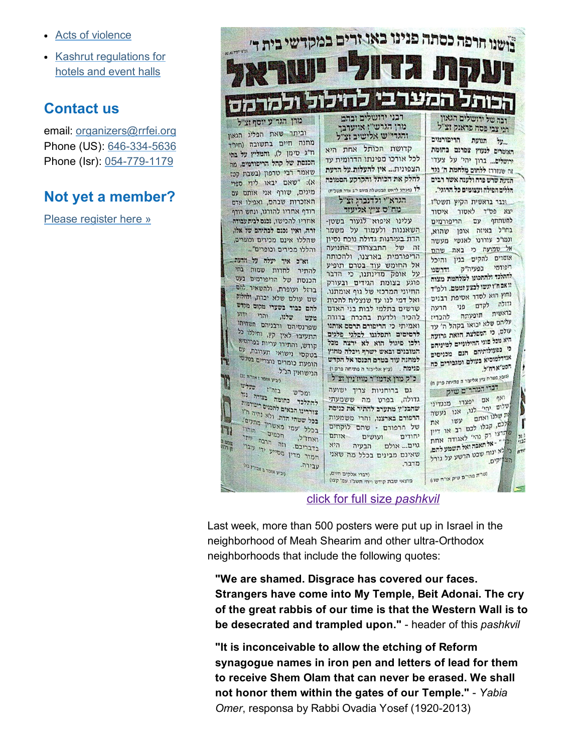- Acts of [violence](http://rrfei.org/resources/acts-of-violence-summer-2015/)
- Kashrut [regulations](http://rrfei.org/resources/kashrut-regulations-for-hotels-spring-2015/) for hotels and event halls

#### Contact us

email: [organizers@rrfei.org](mailto:organizers@rrfei.org) Phone (US): 646-334-5636 Phone (Isr): 054-779-1179

### Not yet a member?

Please [register](http://rrfei.org/about/registration/) here »



click for full size *pashkvil*

Last week, more than 500 posters were put up in Israel in the neighborhood of Meah Shearim and other ultra-Orthodox neighborhoods that include the following quotes:

"We are shamed. Disgrace has covered our faces. Strangers have come into My Temple, Beit Adonai. The cry of the great rabbis of our time is that the Western Wall is to be desecrated and trampled upon." header of this *pashkvil*

"It is inconceivable to allow the etching of Reform synagogue names in iron pen and letters of lead for them to receive Shem Olam that can never be erased. We shall not honor them within the gates of our Temple." *Yabia Omer*, responsa by Rabbi Ovadia Yosef (1920-2013)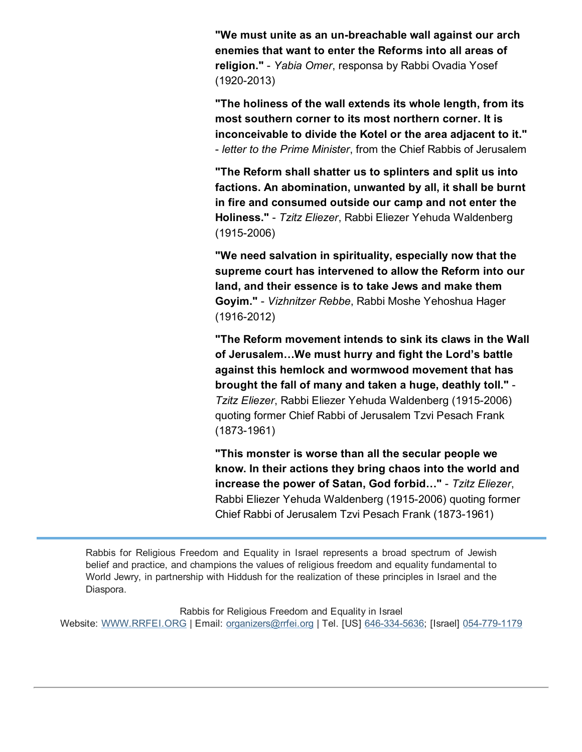"We must unite as an un-breachable wall against our arch enemies that want to enter the Reforms into all areas of religion." *Yabia Omer*, responsa by Rabbi Ovadia Yosef  $(1920 - 2013)$ 

"The holiness of the wall extends its whole length, from its most southern corner to its most northern corner. It is inconceivable to divide the Kotel or the area adjacent to it." *letter to the Prime Minister*, from the Chief Rabbis of Jerusalem

"The Reform shall shatter us to splinters and split us into factions. An abomination, unwanted by all, it shall be burnt in fire and consumed outside our camp and not enter the Holiness." *Tzitz Eliezer*, Rabbi Eliezer Yehuda Waldenberg  $(1915 - 2006)$ 

"We need salvation in spirituality, especially now that the supreme court has intervened to allow the Reform into our land, and their essence is to take Jews and make them Goyim." *Vizhnitzer Rebbe*, Rabbi Moshe Yehoshua Hager  $(1916 - 2012)$ 

"The Reform movement intends to sink its claws in the Wall of Jerusalem…We must hurry and fight the Lord's battle against this hemlock and wormwood movement that has brought the fall of many and taken a huge, deathly toll." **Tzitz Eliezer, Rabbi Eliezer Yehuda Waldenberg (1915-2006)** quoting former Chief Rabbi of Jerusalem Tzvi Pesach Frank  $(1873 - 1961)$ 

"This monster is worse than all the secular people we know. In their actions they bring chaos into the world and increase the power of Satan, God forbid…" *Tzitz Eliezer*, Rabbi Eliezer Yehuda Waldenberg (19152006) quoting former Chief Rabbi of Jerusalem Tzvi Pesach Frank (1873-1961)

Rabbis for Religious Freedom and Equality in Israel represents a broad spectrum of Jewish belief and practice, and champions the values of religious freedom and equality fundamental to World Jewry, in partnership with Hiddush for the realization of these principles in Israel and the Diaspora.

Rabbis for Religious Freedom and Equality in Israel Website: [WWW.RRFEI.ORG](http://rrfei.org/) | Email: [organizers@rrfei.org](mailto:organizers@rrfei.org) | Tel. [US] 646-334-5636; [Israel] 054-779-1179